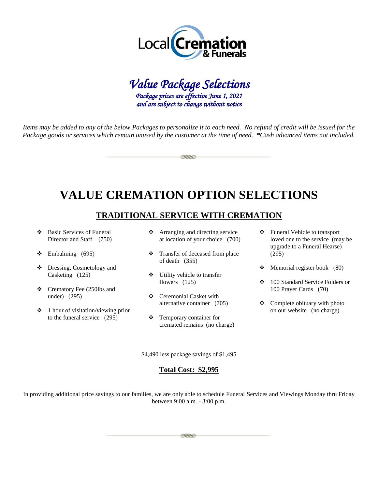



*Items may be added to any of the below Packages to personalize it to each need. No refund of credit will be issued for the Package goods or services which remain unused by the customer at the time of need. \*Cash advanced items not included.* 

esse

# **VALUE CREMATION OPTION SELECTIONS**

# **TRADITIONAL SERVICE WITH CREMATION**

- Basic Services of Funeral Director and Staff (750)
- $\div$  Embalming (695)
- Dressing, Cosmetology and Casketing (125)
- Crematory Fee (250lbs and under) (295)
- $\div$  1 hour of visitation/viewing prior to the funeral service (295)
- Arranging and directing service at location of your choice (700)
- Transfer of deceased from place of death (355)
- Utility vehicle to transfer flowers (125)
- Ceremonial Casket with alternative container (705)
- Temporary container for cremated remains (no charge)
- Funeral Vehicle to transport loved one to the service (may be upgrade to a Funeral Hearse) (295)
- $\div$  Memorial register book (80)
- 100 Standard Service Folders or 100 Prayer Cards (70)
- $\triangleleft$  Complete obituary with photo on our website (no charge)

\$4,490 less package savings of \$1,495

#### **Total Cost: \$2,995**

In providing additional price savings to our families, we are only able to schedule Funeral Services and Viewings Monday thru Friday between 9:00 a.m. - 3:00 p.m.

**CONTRACT**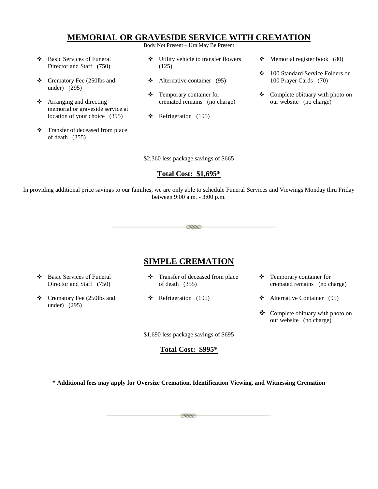# **MEMORIAL OR GRAVESIDE SERVICE WITH CREMATION**

Body Not Present – Urn May Be Present

- Basic Services of Funeral Director and Staff (750)
- Crematory Fee (250lbs and under) (295)
- Arranging and directing memorial or graveside service at location of your choice (395)
- Transfer of deceased from place of death (355)
- Utility vehicle to transfer flowers (125)
- $\triangleleft$  Alternative container (95)
- Temporary container for cremated remains (no charge)
- $\div$  Refrigeration (195)
- $\div$  Memorial register book (80)
- 100 Standard Service Folders or 100 Prayer Cards (70)
- Complete obituary with photo on our website (no charge)

\$2,360 less package savings of \$665

#### **Total Cost: \$1,695\***

In providing additional price savings to our families, we are only able to schedule Funeral Services and Viewings Monday thru Friday between 9:00 a.m. - 3:00 p.m.

esse

# **SIMPLE CREMATION**

- Basic Services of Funeral Director and Staff (750)
- Crematory Fee (250lbs and under) (295)
- Transfer of deceased from place of death (355)
- $\div$  Refrigeration (195)
- Temporary container for cremated remains (no charge)
- $\triangleleft$  Alternative Container (95)
- Complete obituary with photo on our website (no charge)

\$1,690 less package savings of \$695

**Total Cost: \$995\***

**\* Additional fees may apply for Oversize Cremation, Identification Viewing, and Witnessing Cremation**

eee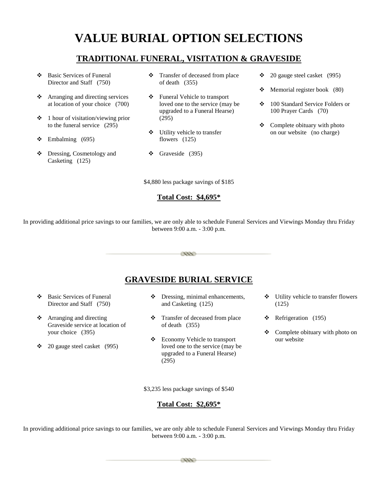# **VALUE BURIAL OPTION SELECTIONS**

# **TRADITIONAL FUNERAL, VISITATION & GRAVESIDE**

- Basic Services of Funeral Director and Staff (750)
- Arranging and directing services at location of your choice (700)
- $\div$  1 hour of visitation/viewing prior to the funeral service (295)
- $\div$  Embalming (695)
- Dressing, Cosmetology and Casketing (125)
- Transfer of deceased from place of death (355)
- Funeral Vehicle to transport loved one to the service (may be upgraded to a Funeral Hearse) (295)
- Utility vehicle to transfer flowers (125)
- $\div$  Graveside (395)

\$4,880 less package savings of \$185

#### **Total Cost: \$4,695\***

 $\div$  20 gauge steel casket (995)

- $\triangleleft$  Memorial register book (80)
- 100 Standard Service Folders or 100 Prayer Cards (70)
- $\triangleleft$  Complete obituary with photo on our website (no charge)

In providing additional price savings to our families, we are only able to schedule Funeral Services and Viewings Monday thru Friday between 9:00 a.m. - 3:00 p.m.

# esse

# **GRAVESIDE BURIAL SERVICE**

- Basic Services of Funeral Director and Staff (750)
- Arranging and directing Graveside service at location of your choice (395)
- $\div$  20 gauge steel casket (995)
- $\triangleleft$  Dressing, minimal enhancements, and Casketing (125)
- Transfer of deceased from place of death (355)
- Economy Vehicle to transport loved one to the service (may be upgraded to a Funeral Hearse) (295)
- Utility vehicle to transfer flowers (125)
- $\div$  Refrigeration (195)
- Complete obituary with photo on our website

\$3,235 less package savings of \$540

#### **Total Cost: \$2,695\***

In providing additional price savings to our families, we are only able to schedule Funeral Services and Viewings Monday thru Friday between 9:00 a.m. - 3:00 p.m.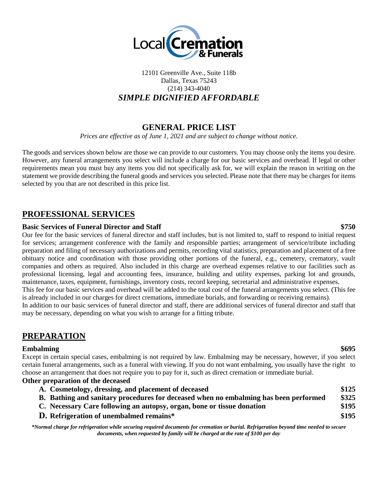

### 12101 Greenville Ave., Suite 118b Dallas, Texas 75243 (214) 343-4040 *SIMPLE DIGNIFIED AFFORDABLE*

## **GENERAL PRICE LIST**

*Prices are effective as of June 1, 2021 and are subject to change without notice.*

The goods and services shown below are those we can provide to our customers. You may choose only the items you desire. However, any funeral arrangements you select will include a charge for our basic services and overhead. If legal or other requirements mean you must buy any items you did not specifically ask for, we will explain the reason in writing on the statement we provide describing the funeral goods and services you selected. Please note that there may be charges for items selected by you that are not described in this price list.

## **PROFESSIONAL SERVICES**

#### **Basic Services of Funeral Director and Staff \$750**

Our fee for the basic services of funeral director and staff includes, but is not limited to, staff to respond to initial request for services; arrangement conference with the family and responsible parties; arrangement of service/tribute including preparation and filing of necessary authorizations and permits, recording vital statistics, preparation and placement of a free obituary notice and coordination with those providing other portions of the funeral, e.g., cemetery, crematory, vault companies and others as required. Also included in this charge are overhead expenses relative to our facilities such as professional licensing, legal and accounting fees, insurance, building and utility expenses, parking lot and grounds, maintenance, taxes, equipment, furnishings, inventory costs, record keeping, secretarial and administrative expenses. This fee for our basic services and overhead will be added to the total cost of the funeral arrangements you select. (This fee is already included in our charges for direct cremations, immediate burials, and forwarding or receiving remains). In addition to our basic services of funeral director and staff, there are additional services of funeral director and staff that may be necessary, depending on what you wish to arrange for a fitting tribute.

## **PREPARATION**

#### **Embalming \$695**

Except in certain special cases, embalming is not required by law. Embalming may be necessary, however, if you select certain funeral arrangements, such as a funeral with viewing. If you do not want embalming, you usually have the right to choose an arrangement that does not require you to pay for it, such as direct cremation or immediate burial.

#### **Other preparation of the deceased**

| A. Cosmetology, dressing, and placement of deceased                                  | \$125 |
|--------------------------------------------------------------------------------------|-------|
| B. Bathing and sanitary procedures for deceased when no embalming has been performed | \$325 |
| C. Necessary Care following an autopsy, organ, bone or tissue donation               | \$195 |
| <b>D.</b> Refrigeration of unembalmed remains*                                       | \$195 |

*\*Normal charge for refrigeration while securing required documents for cremation or burial. Refrigeration beyond time needed to secure documents, when requested by family will be charged at the rate of \$100 per day*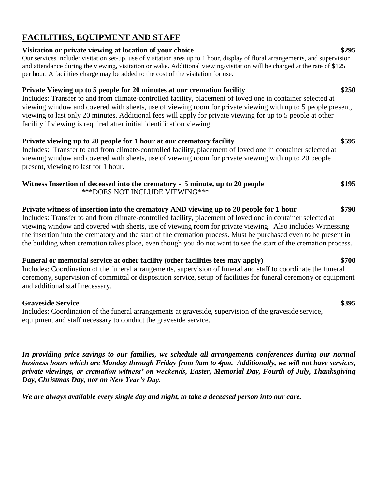# **FACILITIES, EQUIPMENT AND STAFF**

### **Visitation or private viewing at location of your choice \$295**

Our services include: visitation set-up, use of visitation area up to 1 hour, display of floral arrangements, and supervision and attendance during the viewing, visitation or wake. Additional viewing/visitation will be charged at the rate of \$125 per hour. A facilities charge may be added to the cost of the visitation for use.

### **Private Viewing up to 5 people for 20 minutes at our cremation facility \$250**

Includes: Transfer to and from climate-controlled facility, placement of loved one in container selected at viewing window and covered with sheets, use of viewing room for private viewing with up to 5 people present, viewing to last only 20 minutes. Additional fees will apply for private viewing for up to 5 people at other facility if viewing is required after initial identification viewing.

# **Private viewing up to 20 people for 1 hour at our crematory facility \$595**

Includes: Transfer to and from climate-controlled facility, placement of loved one in container selected at viewing window and covered with sheets, use of viewing room for private viewing with up to 20 people present, viewing to last for 1 hour.

#### Witness Insertion of deceased into the crematory - 5 minute, up to 20 people \$195  **\*\*\***DOES NOT INCLUDE VIEWING\*\*\*

### **Private witness of insertion into the crematory AND viewing up to 20 people for 1 hour \$790** Includes: Transfer to and from climate-controlled facility, placement of loved one in container selected at viewing window and covered with sheets, use of viewing room for private viewing. Also includes Witnessing the insertion into the crematory and the start of the cremation process. Must be purchased even to be present in the building when cremation takes place, even though you do not want to see the start of the cremation process.

### **Funeral or memorial service at other facility (other facilities fees may apply) \$700**

Includes: Coordination of the funeral arrangements, supervision of funeral and staff to coordinate the funeral ceremony, supervision of committal or disposition service, setup of facilities for funeral ceremony or equipment and additional staff necessary.

### **Graveside Service \$395**

Includes: Coordination of the funeral arrangements at graveside, supervision of the graveside service, equipment and staff necessary to conduct the graveside service.

*In providing price savings to our families, we schedule all arrangements conferences during our normal business hours which are Monday through Friday from 9am to 4pm. Additionally, we will not have services, private viewings, or cremation witness' on weekends, Easter, Memorial Day, Fourth of July, Thanksgiving Day, Christmas Day, nor on New Year's Day.* 

*We are always available every single day and night, to take a deceased person into our care.*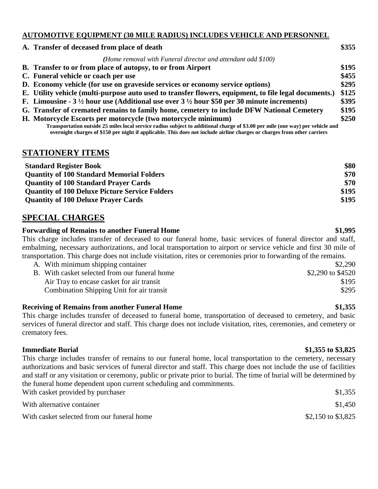#### **AUTOMOTIVE EQUIPMENT (30 MILE RADIUS) INCLUDES VEHICLE AND PERSONNEL**

| A. Transfer of deceased from place of death                                                                                                                                                                                                                | \$355 |
|------------------------------------------------------------------------------------------------------------------------------------------------------------------------------------------------------------------------------------------------------------|-------|
| (Home removal with Funeral director and attendant add \$100)                                                                                                                                                                                               |       |
| B. Transfer to or from place of autopsy, to or from Airport                                                                                                                                                                                                | \$195 |
| C. Funeral vehicle or coach per use                                                                                                                                                                                                                        | \$455 |
| D. Economy vehicle (for use on graveside services or economy service options)                                                                                                                                                                              | \$295 |
| E. Utility vehicle (multi-purpose auto used to transfer flowers, equipment, to file legal documents.)                                                                                                                                                      | \$125 |
| F. Limousine - $3\frac{1}{2}$ hour use (Additional use over $3\frac{1}{2}$ hour \$50 per 30 minute increments)                                                                                                                                             | \$395 |
| G. Transfer of cremated remains to family home, cemetery to include DFW National Cemetery                                                                                                                                                                  | \$195 |
| H. Motorcycle Escorts per motorcycle (two motorcycle minimum)                                                                                                                                                                                              | \$250 |
| Transportation outside 25 miles local service radius subject to additional charge of \$3.00 per mile (one way) per vehicle and<br>overnight charges of \$150 per night if applicable. This does not include airline charges or charges from other carriers |       |

### **STATIONERY ITEMS**

| <b>Standard Register Book</b>                         | \$80  |
|-------------------------------------------------------|-------|
| <b>Quantity of 100 Standard Memorial Folders</b>      | \$70  |
| <b>Quantity of 100 Standard Prayer Cards</b>          | \$70  |
| <b>Quantity of 100 Deluxe Picture Service Folders</b> | \$195 |
| <b>Quantity of 100 Deluxe Prayer Cards</b>            | \$195 |

## **SPECIAL CHARGES**

#### **Forwarding of Remains to another Funeral Home \$1,995**

This charge includes transfer of deceased to our funeral home, basic services of funeral director and staff, embalming, necessary authorizations, and local transportation to airport or service vehicle and first 30 mile of transportation. This charge does not include visitation, rites or ceremonies prior to forwarding of the remains.

A. With minimum shipping container  $$2,290$ B. With casket selected from our funeral home \$2,290 to \$4520 Air Tray to encase casket for air transit  $$195$ Combination Shipping Unit for air transit \$295

#### **Receiving of Remains from another Funeral Home \$1,355**

This charge includes transfer of deceased to funeral home, transportation of deceased to cemetery, and basic services of funeral director and staff. This charge does not include visitation, rites, ceremonies, and cemetery or crematory fees.

### **Immediate Burial \$1,355 to \$3,825**

This charge includes transfer of remains to our funeral home, local transportation to the cemetery, necessary authorizations and basic services of funeral director and staff. This charge does not include the use of facilities and staff or any visitation or ceremony, public or private prior to burial. The time of burial will be determined by the funeral home dependent upon current scheduling and commitments. With casket provided by purchaser  $\frac{1}{355}$ 

| with casket provided by purchaser          | 31.333             |
|--------------------------------------------|--------------------|
| With alternative container                 | \$1,450            |
| With casket selected from our funeral home | \$2,150 to \$3,825 |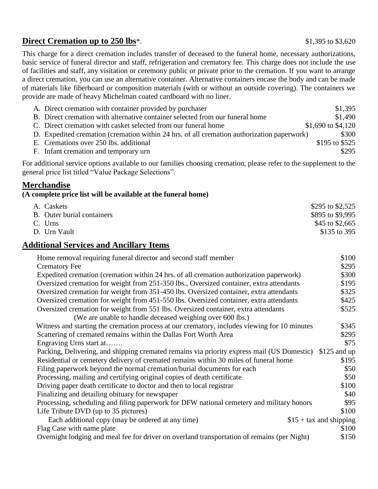# **Direct Cremation up to 250 lbs**\*. \$1,395 to \$3,620

This charge for a direct cremation includes transfer of deceased to the funeral home, necessary authorizations, basic service of funeral director and staff, refrigeration and crematory fee. This charge does not include the use of facilities and staff, any visitation or ceremony public or private prior to the cremation. If you want to arrange a direct cremation, you can use an alternative container. Alternative containers encase the body and can be made of materials like fiberboard or composition materials (with or without an outside covering). The containers we provide are made of heavy Michelman coated cardboard with no liner.

| A. Direct cremation with container provided by purchaser                                   | \$1,395            |
|--------------------------------------------------------------------------------------------|--------------------|
| B. Direct cremation with alternative container selected from our funeral home              | \$1,490            |
| C. Direct cremation with casket selected from our funeral home                             | \$1,690 to \$4,120 |
| D. Expedited cremation (cremation within 24 hrs. of all cremation authorization paperwork) | \$300              |
| E. Cremations over 250 lbs. additional                                                     | \$195 to \$525     |
| F. Infant cremation and temporary urn                                                      | \$295              |

For additional service options available to our families choosing cremation, please refer to the supplement to the general price list titled "Value Package Selections".

### **Merchandise**

#### **(A complete price list will be available at the funeral home)**

| A. Caskets                 | \$295 to \$2,525 |
|----------------------------|------------------|
| B. Outer burial containers | \$895 to \$9,995 |
| C. Urns                    | \$45 to \$2,665  |
| D. Urn Vault               | \$135 to 395     |

### **Additional Services and Ancillary Items**

| Home removal requiring funeral director and second staff member                              | \$100                    |
|----------------------------------------------------------------------------------------------|--------------------------|
| <b>Crematory Fee</b>                                                                         | \$295                    |
| Expedited cremation (cremation within 24 hrs. of all cremation authorization paperwork)      | \$300                    |
| Oversized cremation for weight from 251-350 lbs., Oversized container, extra attendants      | \$195                    |
| Oversized cremation for weight from 351-450 lbs. Oversized container, extra attendants       | \$325                    |
| Oversized cremation for weight from 451-550 lbs. Oversized container, extra attendants       | \$425                    |
| Oversized cremation for weight from 551 lbs. Oversized container, extra attendants           | \$525                    |
| (We are unable to handle deceased weighing over 600 lbs.)                                    |                          |
| Witness and starting the cremation process at our crematory, includes viewing for 10 minutes | \$345                    |
| Scattering of cremated remains within the Dallas Fort Worth Area                             | \$295                    |
| Engraving Urns start at                                                                      | \$75                     |
| Packing, Delivering, and shipping cremated remains via priority express mail (US Domestic)   | $$125$ and up            |
| Residential or cemetery delivery of cremated remains within 30 miles of funeral home         | \$195                    |
| Filing paperwork beyond the normal cremation/burial documents for each                       | \$50                     |
| Processing, mailing and certifying original copies of death certificate                      | \$50                     |
| Driving paper death certificate to doctor and then to local registrar                        | \$100                    |
| Finalizing and detailing obituary for newspaper                                              | \$40                     |
| Processing, scheduling and filing paperwork for DFW national cemetery and military honors    | \$95                     |
| Life Tribute DVD (up to 35 pictures)                                                         | \$100                    |
| Each additional copy (may be ordered at any time)                                            | $$15 + tax$ and shipping |
| Flag Case with name plate                                                                    | \$100                    |
| Overnight lodging and meal fee for driver on overland transportation of remains (per Night)  | \$150                    |
|                                                                                              |                          |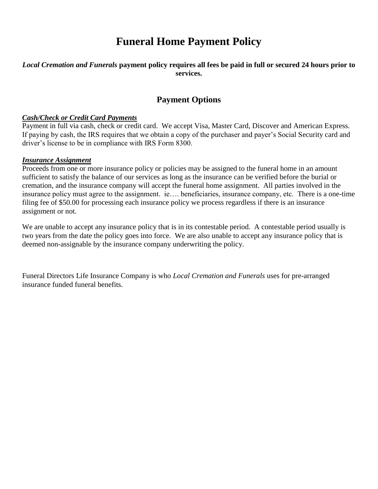# **Funeral Home Payment Policy**

#### *Local Cremation and Funerals* **payment policy requires all fees be paid in full or secured 24 hours prior to services.**

# **Payment Options**

#### *Cash/Check or Credit Card Payments*

Payment in full via cash, check or credit card. We accept Visa, Master Card, Discover and American Express. If paying by cash, the IRS requires that we obtain a copy of the purchaser and payer's Social Security card and driver's license to be in compliance with IRS Form 8300.

#### *Insurance Assignment*

Proceeds from one or more insurance policy or policies may be assigned to the funeral home in an amount sufficient to satisfy the balance of our services as long as the insurance can be verified before the burial or cremation, and the insurance company will accept the funeral home assignment. All parties involved in the insurance policy must agree to the assignment. ie…. beneficiaries, insurance company, etc. There is a one-time filing fee of \$50.00 for processing each insurance policy we process regardless if there is an insurance assignment or not.

We are unable to accept any insurance policy that is in its contestable period. A contestable period usually is two years from the date the policy goes into force. We are also unable to accept any insurance policy that is deemed non-assignable by the insurance company underwriting the policy.

Funeral Directors Life Insurance Company is who *Local Cremation and Funerals* uses for pre-arranged insurance funded funeral benefits.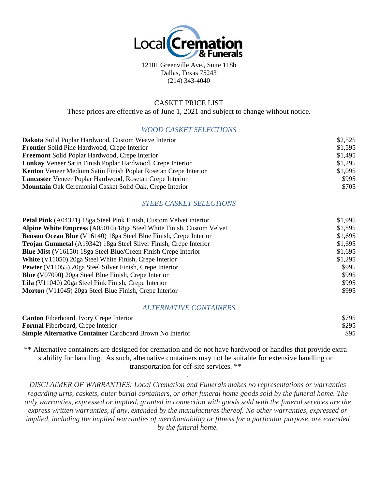

12101 Greenville Ave., Suite 118b Dallas, Texas 75243 (214) 343-4040

#### CASKET PRICE LIST

These prices are effective as of June 1, 2021 and subject to change without notice.

#### *WOOD CASKET SELECTIONS*

| Dakota Solid Poplar Hardwood, Custom Weave Interior               | \$2,525 |
|-------------------------------------------------------------------|---------|
| <b>Frontier</b> Solid Pine Hardwood, Crepe Interior               | \$1,595 |
| <b>Freemont</b> Solid Poplar Hardwood, Crepe Interior             | \$1,495 |
| <b>Lonkay</b> Veneer Satin Finish Poplar Hardwood, Crepe Interior | \$1,295 |
| Kenton Veneer Medium Satin Finish Poplar Rosetan Crepe Interior   | \$1,095 |
| Lancaster Veneer Poplar Hardwood, Rosetan Crepe Interior          | \$995   |
| <b>Mountain</b> Oak Ceremonial Casket Solid Oak, Crepe Interior   | \$705   |

#### *STEEL CASKET SELECTIONS*

| <b>Petal Pink</b> (A04321) 18ga Steel Pink Finish, Custom Velvet interior | \$1,995 |
|---------------------------------------------------------------------------|---------|
| Alpine White Empress (A05010) 18ga Steel White Finish, Custom Velvet      | \$1,895 |
| Benson Ocean Blue (V16140) 18ga Steel Blue Finish, Crepe Interior         | \$1,695 |
| Trojan Gunmetal (A19342) 18ga Steel Silver Finish, Crepe Interior         | \$1,695 |
| <b>Blue Mist</b> (V16150) 18ga Steel Blue/Green Finish Crepe Interior     | \$1,695 |
| <b>White</b> (V11050) 20ga Steel White Finish, Crepe Interior             | \$1,295 |
| <b>Pewter</b> (V11055) 20ga Steel Silver Finish, Crepe Interior           | \$995   |
| <b>Blue</b> (V07090) 20ga Steel Blue Finish, Crepe Interior               | \$995   |
| Lila (V11040) 20ga Steel Pink Finish, Crepe Interior                      | \$995   |
| Morton (V11045) 20ga Steel Blue Finish, Crepe Interior                    | \$995   |

#### *ALTERNATIVE CONTAINERS*

| <b>Canton</b> Fiberboard, Ivory Crepe Interior                  | \$795 |
|-----------------------------------------------------------------|-------|
| <b>Formal</b> Fiberboard, Crepe Interior                        | \$295 |
| <b>Simple Alternative Container Cardboard Brown No Interior</b> | \$95  |

\*\* Alternative containers are designed for cremation and do not have hardwood or handles that provide extra stability for handling. As such, alternative containers may not be suitable for extensive handling or transportation for off-site services. \*\*

.

*DISCLAIMER OF WARRANTIES: Local Cremation and Funerals makes no representations or warranties regarding urns, caskets, outer burial containers, or other funeral home goods sold by the funeral home. The only warranties, expressed or implied, granted in connection with goods sold with the funeral services are the express written warranties, if any, extended by the manufactures thereof. No other warranties, expressed or implied, including the implied warranties of merchantability or fitness for a particular purpose, are extended by the funeral home.*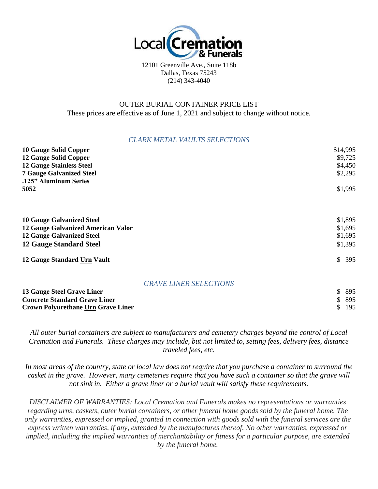

12101 Greenville Ave., Suite 118b Dallas, Texas 75243 (214) 343-4040

#### OUTER BURIAL CONTAINER PRICE LIST These prices are effective as of June 1, 2021 and subject to change without notice.

#### *CLARK METAL VAULTS SELECTIONS*

| <b>10 Gauge Solid Copper</b>              |                               | \$14,995             |
|-------------------------------------------|-------------------------------|----------------------|
| <b>12 Gauge Solid Copper</b>              |                               | \$9,725              |
| <b>12 Gauge Stainless Steel</b>           |                               | \$4,450              |
| <b>7 Gauge Galvanized Steel</b>           |                               | \$2,295              |
| .125" Aluminum Series                     |                               |                      |
| 5052                                      |                               | \$1,995              |
| <b>10 Gauge Galvanized Steel</b>          |                               | \$1,895              |
| <b>12 Gauge Galvanized American Valor</b> |                               | \$1,695              |
| <b>12 Gauge Galvanized Steel</b>          |                               | \$1,695              |
| <b>12 Gauge Standard Steel</b>            |                               | \$1,395              |
| 12 Gauge Standard Urn Vault               |                               | <sup>\$</sup><br>395 |
|                                           | <b>GRAVE LINER SELECTIONS</b> |                      |
| 13 Gauge Steel Grave Liner                |                               | 895                  |

| <b>13 Gauge Steel Grave Liner</b>         | \$ 895 |
|-------------------------------------------|--------|
| <b>Concrete Standard Grave Liner</b>      | \$ 895 |
| <b>Crown Polyurethane Urn Grave Liner</b> | \$ 195 |

*All outer burial containers are subject to manufacturers and cemetery charges beyond the control of Local Cremation and Funerals. These charges may include, but not limited to, setting fees, delivery fees, distance traveled fees, etc.*

*In most areas of the country, state or local law does not require that you purchase a container to surround the casket in the grave. However, many cemeteries require that you have such a container so that the grave will not sink in. Either a grave liner or a burial vault will satisfy these requirements.*

*DISCLAIMER OF WARRANTIES: Local Cremation and Funerals makes no representations or warranties regarding urns, caskets, outer burial containers, or other funeral home goods sold by the funeral home. The only warranties, expressed or implied, granted in connection with goods sold with the funeral services are the express written warranties, if any, extended by the manufactures thereof. No other warranties, expressed or implied, including the implied warranties of merchantability or fitness for a particular purpose, are extended by the funeral home.*